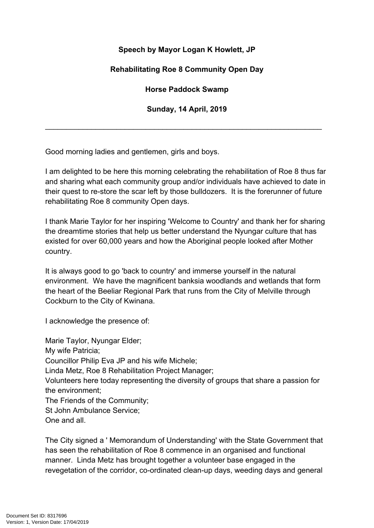## **Speech by Mayor Logan K Howlett, JP**

## **Rehabilitating Roe 8 Community Open Day**

**Horse Paddock Swamp**

**Sunday, 14 April, 2019**

\_\_\_\_\_\_\_\_\_\_\_\_\_\_\_\_\_\_\_\_\_\_\_\_\_\_\_\_\_\_\_\_\_\_\_\_\_\_\_\_\_\_\_\_\_\_\_\_\_\_\_\_\_\_\_\_\_\_\_\_\_\_\_\_\_\_

Good morning ladies and gentlemen, girls and boys.

I am delighted to be here this morning celebrating the rehabilitation of Roe 8 thus far and sharing what each community group and/or individuals have achieved to date in their quest to re-store the scar left by those bulldozers. It is the forerunner of future rehabilitating Roe 8 community Open days.

I thank Marie Taylor for her inspiring 'Welcome to Country' and thank her for sharing the dreamtime stories that help us better understand the Nyungar culture that has existed for over 60,000 years and how the Aboriginal people looked after Mother country.

It is always good to go 'back to country' and immerse yourself in the natural environment. We have the magnificent banksia woodlands and wetlands that form the heart of the Beeliar Regional Park that runs from the City of Melville through Cockburn to the City of Kwinana.

I acknowledge the presence of:

Marie Taylor, Nyungar Elder; My wife Patricia; Councillor Philip Eva JP and his wife Michele; Linda Metz, Roe 8 Rehabilitation Project Manager; Volunteers here today representing the diversity of groups that share a passion for the environment; The Friends of the Community; St John Ambulance Service; One and all.

The City signed a ' Memorandum of Understanding' with the State Government that has seen the rehabilitation of Roe 8 commence in an organised and functional manner. Linda Metz has brought together a volunteer base engaged in the revegetation of the corridor, co-ordinated clean-up days, weeding days and general